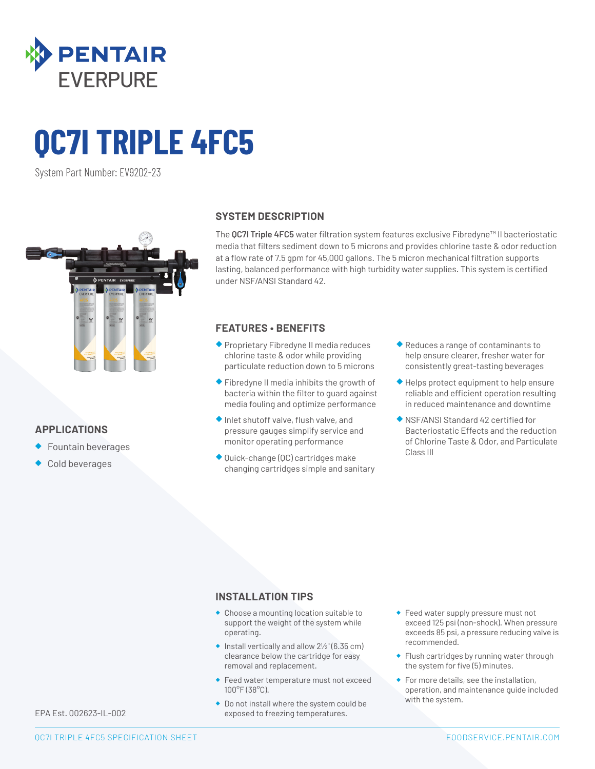

# **QC7I TRIPLE 4FC5**

System Part Number: EV9202-23



## **APPLICATIONS**

- ◆ Fountain beverages
- Cold beverages

#### **SYSTEM DESCRIPTION**

The **QC7I Triple 4FC5** water filtration system features exclusive Fibredyne™ II bacteriostatic media that filters sediment down to 5 microns and provides chlorine taste & odor reduction at a flow rate of 7.5 gpm for 45,000 gallons. The 5 micron mechanical filtration supports lasting, balanced performance with high turbidity water supplies. This system is certified under NSF/ANSI Standard 42.

### **FEATURES • BENEFITS**

- ◆ Proprietary Fibredyne II media reduces chlorine taste & odor while providing particulate reduction down to 5 microns
- ◆ Fibredyne II media inhibits the growth of bacteria within the filter to guard against media fouling and optimize performance
- ◆ Inlet shutoff valve, flush valve, and pressure gauges simplify service and monitor operating performance
- ◆ Quick-change (QC) cartridges make changing cartridges simple and sanitary
- ◆ Reduces a range of contaminants to help ensure clearer, fresher water for consistently great-tasting beverages
- ◆ Helps protect equipment to help ensure reliable and efficient operation resulting in reduced maintenance and downtime
- ◆ NSF/ANSI Standard 42 certified for Bacteriostatic Effects and the reduction of Chlorine Taste & Odor, and Particulate Class III

### **INSTALLATION TIPS**

- ◆ Choose a mounting location suitable to support the weight of the system while operating.
- $\bullet$  Install vertically and allow  $2\frac{1}{2}$ " (6.35 cm) clearance below the cartridge for easy removal and replacement.
- ◆ Feed water temperature must not exceed 100°F (38°C).
- ◆ Do not install where the system could be exposed to freezing temperatures.
- ◆ Feed water supply pressure must not exceed 125 psi (non-shock). When pressure exceeds 85 psi, a pressure reducing valve is recommended.
- ◆ Flush cartridges by running water through the system for five (5) minutes.
- ◆ For more details, see the installation, operation, and maintenance guide included with the system.

EPA Est. 002623-IL-002